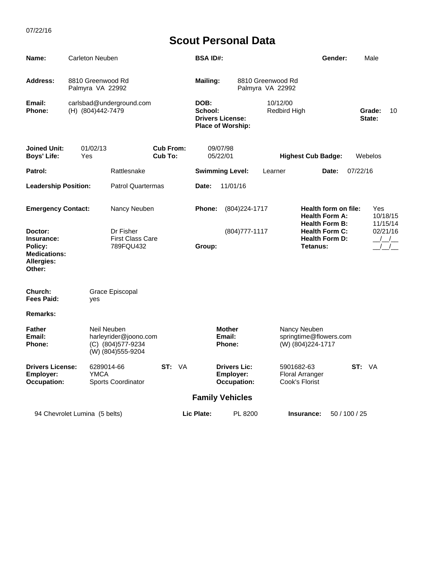| Name:                                                                           | Carleton Neuben                               |                                                                   |        |       | <b>BSA ID#:</b>          |                                                        | Gender:                  |                                       | Male                                                                   |          |               |                      |    |
|---------------------------------------------------------------------------------|-----------------------------------------------|-------------------------------------------------------------------|--------|-------|--------------------------|--------------------------------------------------------|--------------------------|---------------------------------------|------------------------------------------------------------------------|----------|---------------|----------------------|----|
| <b>Address:</b>                                                                 | 8810 Greenwood Rd<br>Palmyra VA 22992         |                                                                   |        |       | <b>Mailing:</b>          |                                                        |                          | 8810 Greenwood Rd<br>Palmyra VA 22992 |                                                                        |          |               |                      |    |
| Email:<br>Phone:                                                                | carlsbad@underground.com<br>(H) (804)442-7479 |                                                                   |        |       | DOB:<br>School:          | <b>Drivers License:</b><br><b>Place of Worship:</b>    | 10/12/00<br>Redbird High |                                       |                                                                        |          |               | Grade:<br>State:     | 10 |
| <b>Joined Unit:</b><br><b>Boys' Life:</b>                                       | 01/02/13<br>Yes                               | <b>Cub From:</b><br>Cub To:                                       |        |       |                          | 09/07/98<br>05/22/01                                   |                          |                                       | <b>Highest Cub Badge:</b>                                              |          |               | Webelos              |    |
| Patrol:                                                                         |                                               | Rattlesnake                                                       |        |       | <b>Swimming Level:</b>   |                                                        | Learner                  |                                       |                                                                        | 07/22/16 |               |                      |    |
| <b>Leadership Position:</b>                                                     |                                               | <b>Patrol Quartermas</b>                                          |        | Date: | 11/01/16                 |                                                        |                          |                                       |                                                                        |          |               |                      |    |
| <b>Emergency Contact:</b>                                                       |                                               | Nancy Neuben                                                      |        |       | Phone:<br>(804) 224-1717 |                                                        |                          |                                       | Health form on file:<br><b>Health Form A:</b><br><b>Health Form B:</b> |          |               | 10/18/15<br>11/15/14 |    |
| Doctor:<br>Insurance:<br>Policy:<br><b>Medications:</b><br>Allergies:<br>Other: |                                               | Dr Fisher<br><b>First Class Care</b><br>789FQU432                 |        |       | Group:                   | (804) 777-1117                                         |                          |                                       | <b>Health Form C:</b><br><b>Health Form D:</b><br>Tetanus:             |          |               | 02/21/16             |    |
| Church:<br>Fees Paid:                                                           | yes                                           | Grace Episcopal                                                   |        |       |                          |                                                        |                          |                                       |                                                                        |          |               |                      |    |
| <b>Remarks:</b>                                                                 |                                               |                                                                   |        |       |                          |                                                        |                          |                                       |                                                                        |          |               |                      |    |
| <b>Father</b><br>Email:<br><b>Phone:</b>                                        | Neil Neuben                                   | harleyrider@joono.com<br>(C) (804) 577-9234<br>(W) (804) 555-9204 |        |       |                          | <b>Mother</b><br>Email:<br>Phone:                      |                          |                                       | Nancy Neuben<br>springtime@flowers.com<br>(W) (804) 224-1717           |          |               |                      |    |
| <b>Drivers License:</b><br><b>Employer:</b><br><b>Occupation:</b>               | 6289014-66<br><b>YMCA</b>                     | Sports Coordinator                                                | ST: VA |       |                          | <b>Drivers Lic:</b><br>Employer:<br><b>Occupation:</b> |                          | 5901682-63<br>Cook's Florist          | <b>Floral Arranger</b>                                                 |          | ST: VA        |                      |    |
|                                                                                 |                                               |                                                                   |        |       |                          | <b>Family Vehicles</b>                                 |                          |                                       |                                                                        |          |               |                      |    |
| 94 Chevrolet Lumina (5 belts)                                                   |                                               |                                                                   |        |       | Lic Plate:               | PL 8200                                                |                          |                                       | Insurance:                                                             |          | 50 / 100 / 25 |                      |    |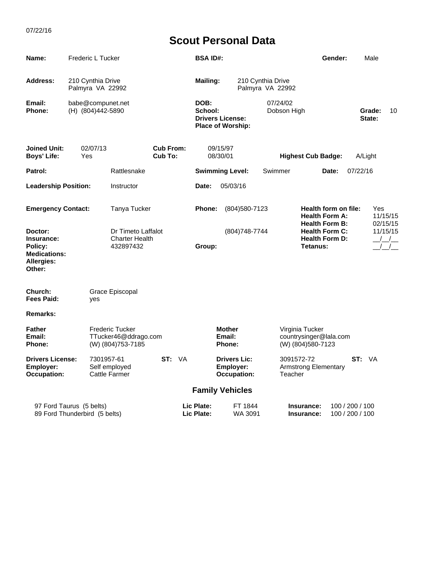| Name:                                                                                  | Frederic L Tucker                      |                                                                      |                             | <b>BSA ID#:</b>          |                                                        | Gender:                                   |                                                                              | Male                               |                             |
|----------------------------------------------------------------------------------------|----------------------------------------|----------------------------------------------------------------------|-----------------------------|--------------------------|--------------------------------------------------------|-------------------------------------------|------------------------------------------------------------------------------|------------------------------------|-----------------------------|
| Address:                                                                               | 210 Cynthia Drive<br>Palmyra VA 22992  |                                                                      |                             | <b>Mailing:</b>          |                                                        | 210 Cynthia Drive<br>Palmyra VA 22992     |                                                                              |                                    |                             |
| Email:<br>Phone:                                                                       | babe@compunet.net<br>(H) (804)442-5890 |                                                                      |                             | DOB:<br>School:          | <b>Drivers License:</b><br>Place of Worship:           | 07/24/02<br>Dobson High                   |                                                                              | State:                             | Grade:<br>10                |
| <b>Joined Unit:</b><br><b>Boys' Life:</b>                                              | 02/07/13<br>Yes                        |                                                                      | <b>Cub From:</b><br>Cub To: |                          | 09/15/97<br>08/30/01                                   |                                           | <b>Highest Cub Badge:</b>                                                    |                                    |                             |
| Patrol:                                                                                |                                        | Rattlesnake                                                          |                             |                          | <b>Swimming Level:</b>                                 | Swimmer                                   | Date:                                                                        | 07/22/16                           |                             |
| <b>Leadership Position:</b>                                                            |                                        | Instructor                                                           |                             | Date:                    | 05/03/16                                               |                                           |                                                                              |                                    |                             |
| <b>Emergency Contact:</b>                                                              |                                        | Tanya Tucker                                                         |                             | Phone:                   |                                                        | (804) 580 - 7123<br><b>Health Form A:</b> |                                                                              | Health form on file:               | Yes<br>11/15/15<br>02/15/15 |
| Doctor:<br>Insurance:<br>Policy:<br><b>Medications:</b><br><b>Allergies:</b><br>Other: |                                        | Dr Timeto Laffalot<br><b>Charter Health</b><br>432897432             |                             | Group:                   | (804) 748-7744                                         |                                           | <b>Health Form B:</b><br><b>Health Form C:</b><br>Health Form D:<br>Tetanus: |                                    | 11/15/15                    |
| Church:<br><b>Fees Paid:</b>                                                           | yes                                    | Grace Episcopal                                                      |                             |                          |                                                        |                                           |                                                                              |                                    |                             |
| <b>Remarks:</b>                                                                        |                                        |                                                                      |                             |                          |                                                        |                                           |                                                                              |                                    |                             |
| <b>Father</b><br>Email:<br>Phone:                                                      |                                        | <b>Frederic Tucker</b><br>TTucker46@ddrago.com<br>(W) (804) 753-7185 |                             |                          | <b>Mother</b><br>Email:<br>Phone:                      |                                           | Virginia Tucker<br>countrysinger@lala.com<br>(W) (804) 580-7123              |                                    |                             |
| <b>Drivers License:</b><br>Employer:<br><b>Occupation:</b>                             | 7301957-61                             | Self employed<br><b>Cattle Farmer</b>                                | ST: VA                      |                          | <b>Drivers Lic:</b><br>Employer:<br><b>Occupation:</b> | Teacher                                   | 3091572-72<br><b>Armstrong Elementary</b>                                    | ST: VA                             |                             |
|                                                                                        |                                        |                                                                      |                             |                          | <b>Family Vehicles</b>                                 |                                           |                                                                              |                                    |                             |
| 97 Ford Taurus (5 belts)<br>89 Ford Thunderbird (5 belts)                              |                                        |                                                                      |                             | Lic Plate:<br>Lic Plate: | FT 1844<br>WA 3091                                     |                                           | Insurance:<br>Insurance:                                                     | 100 / 200 / 100<br>100 / 200 / 100 |                             |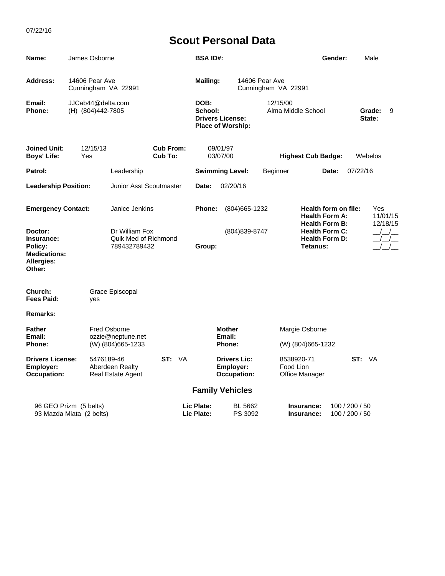| Name:                                                                                  | James Osborne                          |                                                                |        |                          | <b>BSA ID#:</b>                                                        |                                                        |          |                                |                                                            | Gender:                                                                |         | Male             |                             |
|----------------------------------------------------------------------------------------|----------------------------------------|----------------------------------------------------------------|--------|--------------------------|------------------------------------------------------------------------|--------------------------------------------------------|----------|--------------------------------|------------------------------------------------------------|------------------------------------------------------------------------|---------|------------------|-----------------------------|
| Address:                                                                               | 14606 Pear Ave<br>Cunningham VA 22991  |                                                                |        |                          | <b>Mailing:</b><br>14606 Pear Ave<br>Cunningham VA 22991               |                                                        |          |                                |                                                            |                                                                        |         |                  |                             |
| Email:<br><b>Phone:</b>                                                                | JJCab44@delta.com<br>(H) (804)442-7805 |                                                                |        |                          | DOB:<br>School:<br><b>Drivers License:</b><br><b>Place of Worship:</b> |                                                        |          | 12/15/00<br>Alma Middle School |                                                            |                                                                        |         | Grade:<br>State: | 9                           |
| <b>Joined Unit:</b><br><b>Boys' Life:</b>                                              | 12/15/13<br>Yes                        | <b>Cub From:</b><br>Cub To:                                    |        |                          |                                                                        | 09/01/97<br>03/07/00                                   |          | <b>Highest Cub Badge:</b>      |                                                            |                                                                        | Webelos |                  |                             |
| Patrol:                                                                                |                                        | Leadership                                                     |        |                          | <b>Swimming Level:</b>                                                 |                                                        | Beginner |                                | 07/22/16<br>Date:                                          |                                                                        |         |                  |                             |
| <b>Leadership Position:</b>                                                            |                                        | Junior Asst Scoutmaster                                        |        |                          | 02/20/16<br>Date:                                                      |                                                        |          |                                |                                                            |                                                                        |         |                  |                             |
| <b>Emergency Contact:</b>                                                              |                                        | Janice Jenkins                                                 |        |                          | Phone:                                                                 | (804) 665 - 1232                                       |          |                                |                                                            | Health form on file:<br><b>Health Form A:</b><br><b>Health Form B:</b> |         |                  | Yes<br>11/01/15<br>12/18/15 |
| Doctor:<br>Insurance:<br>Policy:<br><b>Medications:</b><br><b>Allergies:</b><br>Other: |                                        | Dr William Fox<br>Quik Med of Richmond<br>789432789432         |        |                          | Group:                                                                 | (804)839-8747                                          |          |                                | <b>Health Form C:</b><br><b>Health Form D:</b><br>Tetanus: |                                                                        |         |                  | $\frac{1}{2}$               |
| Church:<br>Fees Paid:                                                                  | yes                                    | Grace Episcopal                                                |        |                          |                                                                        |                                                        |          |                                |                                                            |                                                                        |         |                  |                             |
| Remarks:                                                                               |                                        |                                                                |        |                          |                                                                        |                                                        |          |                                |                                                            |                                                                        |         |                  |                             |
| <b>Father</b><br>Email:<br>Phone:                                                      |                                        | <b>Fred Osborne</b><br>ozzie@neptune.net<br>(W) (804) 665-1233 |        |                          |                                                                        | <b>Mother</b><br>Email:<br>Phone:                      |          |                                | Margie Osborne<br>(W) (804) 665-1232                       |                                                                        |         |                  |                             |
| <b>Drivers License:</b><br>5476189-46<br>Employer:<br><b>Occupation:</b>               |                                        | Aberdeen Realty<br>Real Estate Agent                           | ST: VA |                          |                                                                        | <b>Drivers Lic:</b><br>Employer:<br><b>Occupation:</b> |          | 8538920-71<br>Food Lion        | Office Manager                                             |                                                                        | ST: VA  |                  |                             |
|                                                                                        |                                        |                                                                |        |                          |                                                                        | <b>Family Vehicles</b>                                 |          |                                |                                                            |                                                                        |         |                  |                             |
| 96 GEO Prizm (5 belts)<br>93 Mazda Miata (2 belts)                                     |                                        |                                                                |        | Lic Plate:<br>Lic Plate: | BL 5662<br>PS 3092                                                     |                                                        |          | Insurance:<br>Insurance:       | 100 / 200 / 50<br>100 / 200 / 50                           |                                                                        |         |                  |                             |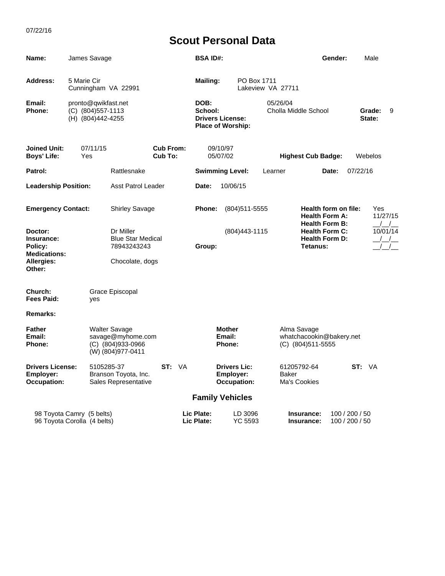| Name:                                                        |                                                                | James Savage |                                                                                         |        |                                                                        | <b>BSA ID#:</b>                |                                   |                           |  |                                                            |                                                                        | Gender:          |                                  | Male |                                                           |
|--------------------------------------------------------------|----------------------------------------------------------------|--------------|-----------------------------------------------------------------------------------------|--------|------------------------------------------------------------------------|--------------------------------|-----------------------------------|---------------------------|--|------------------------------------------------------------|------------------------------------------------------------------------|------------------|----------------------------------|------|-----------------------------------------------------------|
| Address:                                                     | 5 Marie Cir                                                    |              | Cunningham VA 22991                                                                     |        |                                                                        | <b>Mailing:</b><br>PO Box 1711 |                                   |                           |  | Lakeview VA 27711                                          |                                                                        |                  |                                  |      |                                                           |
| Email:<br>Phone:                                             | pronto@qwikfast.net<br>(C) (804) 557-1113<br>(H) (804)442-4255 |              |                                                                                         |        | DOB:<br>School:<br><b>Drivers License:</b><br><b>Place of Worship:</b> |                                | 05/26/04<br>Cholla Middle School  |                           |  |                                                            |                                                                        | Grade:<br>State: | 9                                |      |                                                           |
| <b>Joined Unit:</b><br>07/11/15<br><b>Boys' Life:</b><br>Yes |                                                                |              | <b>Cub From:</b><br>Cub To:                                                             |        | 09/10/97<br>05/07/02                                                   |                                |                                   | <b>Highest Cub Badge:</b> |  |                                                            |                                                                        | Webelos          |                                  |      |                                                           |
| Patrol:                                                      |                                                                |              | Rattlesnake                                                                             |        | <b>Swimming Level:</b>                                                 |                                |                                   | Learner                   |  |                                                            | Date:                                                                  | 07/22/16         |                                  |      |                                                           |
| <b>Leadership Position:</b>                                  |                                                                |              | <b>Asst Patrol Leader</b>                                                               |        |                                                                        | 10/06/15<br>Date:              |                                   |                           |  |                                                            |                                                                        |                  |                                  |      |                                                           |
| <b>Emergency Contact:</b>                                    |                                                                |              | <b>Shirley Savage</b>                                                                   |        |                                                                        | Phone:                         |                                   | $(804)511 - 5555$         |  |                                                            | Health form on file:<br><b>Health Form A:</b><br><b>Health Form B:</b> |                  |                                  | Yes  | 11/27/15                                                  |
| Doctor:<br>Insurance:<br>Policy:<br><b>Medications:</b>      |                                                                |              | Dr Miller<br><b>Blue Star Medical</b><br>78943243243                                    |        |                                                                        | (804) 443 - 1115<br>Group:     |                                   |                           |  | <b>Health Form C:</b><br><b>Health Form D:</b><br>Tetanus: |                                                                        |                  |                                  |      | $\left  \begin{array}{c} \end{array} \right $<br>10/01/14 |
| Allergies:<br>Other:                                         |                                                                |              | Chocolate, dogs                                                                         |        |                                                                        |                                |                                   |                           |  |                                                            |                                                                        |                  |                                  |      |                                                           |
| Church:<br>Fees Paid:                                        |                                                                | yes          | Grace Episcopal                                                                         |        |                                                                        |                                |                                   |                           |  |                                                            |                                                                        |                  |                                  |      |                                                           |
| <b>Remarks:</b>                                              |                                                                |              |                                                                                         |        |                                                                        |                                |                                   |                           |  |                                                            |                                                                        |                  |                                  |      |                                                           |
| <b>Father</b><br>Email:<br>Phone:                            |                                                                |              | <b>Walter Savage</b><br>savage@myhome.com<br>$(C)$ (804) 933-0966<br>(W) (804) 977-0411 |        |                                                                        |                                | <b>Mother</b><br>Email:<br>Phone: |                           |  | Alma Savage                                                | whatchacookin@bakery.net<br>(C) (804)511-5555                          |                  |                                  |      |                                                           |
| <b>Drivers License:</b><br>Employer:<br>Occupation:          |                                                                | 5105285-37   | Branson Toyota, Inc.<br>Sales Representative                                            | ST: VA |                                                                        |                                | <b>Drivers Lic:</b><br>Employer:  | <b>Occupation:</b>        |  | 61205792-64<br><b>Baker</b><br>Ma's Cookies                |                                                                        |                  | ST: VA                           |      |                                                           |
|                                                              |                                                                |              |                                                                                         |        |                                                                        | <b>Family Vehicles</b>         |                                   |                           |  |                                                            |                                                                        |                  |                                  |      |                                                           |
| 98 Toyota Camry (5 belts)<br>96 Toyota Corolla (4 belts)     |                                                                |              |                                                                                         |        |                                                                        | Lic Plate:<br>Lic Plate:       |                                   | LD 3096<br><b>YC 5593</b> |  |                                                            | Insurance:<br>Insurance:                                               |                  | 100 / 200 / 50<br>100 / 200 / 50 |      |                                                           |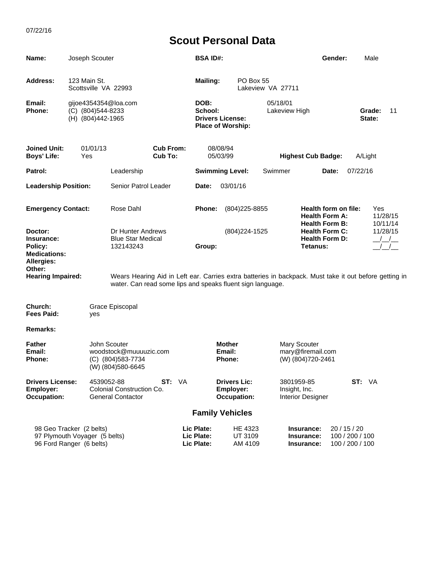| Name:                                                                                                       | Joseph Scouter                                                                        |                                                            |                             |                                                                        | <b>BSA ID#:</b>                                                                                                                                                                                  |                                                        |                               |               |                                                                                             | Gender:                                                                |                                                    | Male             |                      |
|-------------------------------------------------------------------------------------------------------------|---------------------------------------------------------------------------------------|------------------------------------------------------------|-----------------------------|------------------------------------------------------------------------|--------------------------------------------------------------------------------------------------------------------------------------------------------------------------------------------------|--------------------------------------------------------|-------------------------------|---------------|---------------------------------------------------------------------------------------------|------------------------------------------------------------------------|----------------------------------------------------|------------------|----------------------|
| Address:                                                                                                    | 123 Main St.<br>Scottsville VA 22993                                                  |                                                            |                             |                                                                        | PO Box 55<br><b>Mailing:</b><br>Lakeview VA 27711                                                                                                                                                |                                                        |                               |               |                                                                                             |                                                                        |                                                    |                  |                      |
| Email:<br><b>Phone:</b>                                                                                     | gijoe4354354@loa.com<br>(C) (804)544-8233<br>(H) (804)442-1965                        |                                                            |                             | DOB:<br>School:<br><b>Drivers License:</b><br><b>Place of Worship:</b> |                                                                                                                                                                                                  |                                                        | 05/18/01<br>Lakeview High     |               |                                                                                             |                                                                        |                                                    | Grade:<br>State: | 11                   |
| <b>Joined Unit:</b><br><b>Boys' Life:</b>                                                                   | 01/01/13<br>Yes                                                                       |                                                            | <b>Cub From:</b><br>Cub To: |                                                                        |                                                                                                                                                                                                  | 08/08/94<br>05/03/99                                   |                               |               | <b>Highest Cub Badge:</b>                                                                   |                                                                        | A/Light                                            |                  |                      |
| Patrol:                                                                                                     |                                                                                       | Leadership                                                 |                             |                                                                        | <b>Swimming Level:</b>                                                                                                                                                                           |                                                        |                               | Swimmer       |                                                                                             | Date:                                                                  | 07/22/16                                           |                  |                      |
| <b>Leadership Position:</b>                                                                                 |                                                                                       | Senior Patrol Leader                                       |                             |                                                                        | Date:                                                                                                                                                                                            | 03/01/16                                               |                               |               |                                                                                             |                                                                        |                                                    |                  |                      |
| <b>Emergency Contact:</b>                                                                                   |                                                                                       | Rose Dahl                                                  |                             |                                                                        | Phone:                                                                                                                                                                                           |                                                        | (804) 225-8855                |               |                                                                                             | Health form on file:<br><b>Health Form A:</b><br><b>Health Form B:</b> |                                                    | Yes              | 11/28/15<br>10/11/14 |
| Doctor:<br>Insurance:<br>Policy:<br><b>Medications:</b><br>Allergies:<br>Other:<br><b>Hearing Impaired:</b> |                                                                                       | Dr Hunter Andrews<br><b>Blue Star Medical</b><br>132143243 |                             |                                                                        | (804) 224-1525<br>Group:<br>Wears Hearing Aid in Left ear. Carries extra batteries in backpack. Must take it out before getting in<br>water. Can read some lips and speaks fluent sign language. |                                                        |                               |               | 11/28/15<br><b>Health Form C:</b><br><b>Health Form D:</b><br>$\frac{\mu}{\mu}$<br>Tetanus: |                                                                        |                                                    |                  |                      |
| Church:<br><b>Fees Paid:</b>                                                                                | yes                                                                                   | Grace Episcopal                                            |                             |                                                                        |                                                                                                                                                                                                  |                                                        |                               |               |                                                                                             |                                                                        |                                                    |                  |                      |
| <b>Remarks:</b>                                                                                             |                                                                                       |                                                            |                             |                                                                        |                                                                                                                                                                                                  |                                                        |                               |               |                                                                                             |                                                                        |                                                    |                  |                      |
| <b>Father</b><br>Email:<br><b>Phone:</b>                                                                    | John Scouter<br>woodstock@muuuuzic.com<br>(C) (804) 583-7734<br>(W) (804) 580-6645    |                                                            |                             |                                                                        |                                                                                                                                                                                                  | <b>Mother</b><br>Email:<br><b>Phone:</b>               |                               |               | <b>Mary Scouter</b><br>mary@firemail.com<br>(W) (804)720-2461                               |                                                                        |                                                    |                  |                      |
| <b>Drivers License:</b><br>Employer:<br><b>Occupation:</b>                                                  | 4539052-88                                                                            | Colonial Construction Co.<br><b>General Contactor</b>      | ST: VA                      |                                                                        |                                                                                                                                                                                                  | <b>Drivers Lic:</b><br>Employer:<br><b>Occupation:</b> |                               | Insight, Inc. | 3801959-85<br><b>Interior Designer</b>                                                      |                                                                        | ST: VA                                             |                  |                      |
|                                                                                                             |                                                                                       |                                                            |                             |                                                                        | <b>Family Vehicles</b>                                                                                                                                                                           |                                                        |                               |               |                                                                                             |                                                                        |                                                    |                  |                      |
|                                                                                                             | 98 Geo Tracker (2 belts)<br>97 Plymouth Voyager (5 belts)<br>96 Ford Ranger (6 belts) |                                                            |                             |                                                                        | Lic Plate:<br>Lic Plate:<br>Lic Plate:                                                                                                                                                           |                                                        | HE 4323<br>UT 3109<br>AM 4109 |               | Insurance:<br>Insurance:<br>Insurance:                                                      |                                                                        | 20 / 15 / 20<br>100 / 200 / 100<br>100 / 200 / 100 |                  |                      |